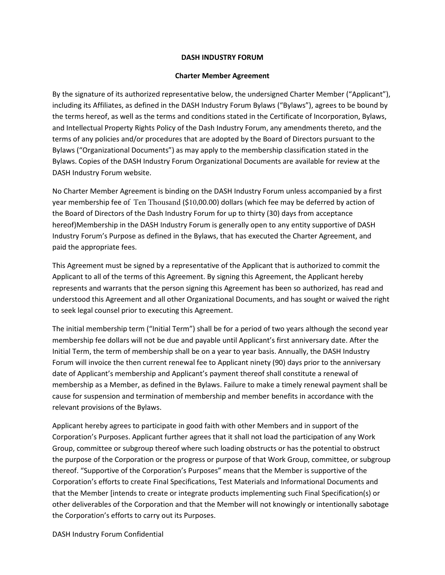## DASH INDUSTRY FORUM

## Charter Member Agreement

By the signature of its authorized representative below, the undersigned Charter Member ("Applicant"), including its Affiliates, as defined in the DASH Industry Forum Bylaws ("Bylaws"), agrees to be bound by the terms hereof, as well as the terms and conditions stated in the Certificate of Incorporation, Bylaws, and Intellectual Property Rights Policy of the Dash Industry Forum, any amendments thereto, and the terms of any policies and/or procedures that are adopted by the Board of Directors pursuant to the Bylaws ("Organizational Documents") as may apply to the membership classification stated in the Bylaws. Copies of the DASH Industry Forum Organizational Documents are available for review at the DASH Industry Forum website.

No Charter Member Agreement is binding on the DASH Industry Forum unless accompanied by a first year membership fee of Ten Thousand (\$10,00.00) dollars (which fee may be deferred by action of the Board of Directors of the Dash Industry Forum for up to thirty (30) days from acceptance hereof)Membership in the DASH Industry Forum is generally open to any entity supportive of DASH Industry Forum's Purpose as defined in the Bylaws, that has executed the Charter Agreement, and paid the appropriate fees.

This Agreement must be signed by a representative of the Applicant that is authorized to commit the Applicant to all of the terms of this Agreement. By signing this Agreement, the Applicant hereby represents and warrants that the person signing this Agreement has been so authorized, has read and understood this Agreement and all other Organizational Documents, and has sought or waived the right to seek legal counsel prior to executing this Agreement.

The initial membership term ("Initial Term") shall be for a period of two years although the second year membership fee dollars will not be due and payable until Applicant's first anniversary date. After the Initial Term, the term of membership shall be on a year to year basis. Annually, the DASH Industry Forum will invoice the then current renewal fee to Applicant ninety (90) days prior to the anniversary date of Applicant's membership and Applicant's payment thereof shall constitute a renewal of membership as a Member, as defined in the Bylaws. Failure to make a timely renewal payment shall be cause for suspension and termination of membership and member benefits in accordance with the relevant provisions of the Bylaws.

Applicant hereby agrees to participate in good faith with other Members and in support of the Corporation's Purposes. Applicant further agrees that it shall not load the participation of any Work Group, committee or subgroup thereof where such loading obstructs or has the potential to obstruct the purpose of the Corporation or the progress or purpose of that Work Group, committee, or subgroup thereof. "Supportive of the Corporation's Purposes" means that the Member is supportive of the Corporation's efforts to create Final Specifications, Test Materials and Informational Documents and that the Member [intends to create or integrate products implementing such Final Specification(s) or other deliverables of the Corporation and that the Member will not knowingly or intentionally sabotage the Corporation's efforts to carry out its Purposes.

DASH Industry Forum Confidential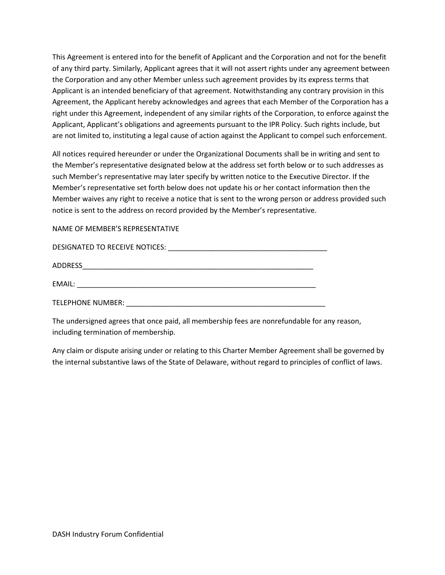This Agreement is entered into for the benefit of Applicant and the Corporation and not for the benefit of any third party. Similarly, Applicant agrees that it will not assert rights under any agreement between the Corporation and any other Member unless such agreement provides by its express terms that Applicant is an intended beneficiary of that agreement. Notwithstanding any contrary provision in this Agreement, the Applicant hereby acknowledges and agrees that each Member of the Corporation has a right under this Agreement, independent of any similar rights of the Corporation, to enforce against the Applicant, Applicant's obligations and agreements pursuant to the IPR Policy. Such rights include, but are not limited to, instituting a legal cause of action against the Applicant to compel such enforcement.

All notices required hereunder or under the Organizational Documents shall be in writing and sent to the Member's representative designated below at the address set forth below or to such addresses as such Member's representative may later specify by written notice to the Executive Director. If the Member's representative set forth below does not update his or her contact information then the Member waives any right to receive a notice that is sent to the wrong person or address provided such notice is sent to the address on record provided by the Member's representative.

NAME OF MEMBER'S REPRESENTATIVE

| DESIGNATED TO RECEIVE NOTICES: |  |
|--------------------------------|--|
| <b>ADDRESS</b>                 |  |
| EMAIL:                         |  |
| TELEPHONE NUMBER:              |  |

The undersigned agrees that once paid, all membership fees are nonrefundable for any reason, including termination of membership.

Any claim or dispute arising under or relating to this Charter Member Agreement shall be governed by the internal substantive laws of the State of Delaware, without regard to principles of conflict of laws.